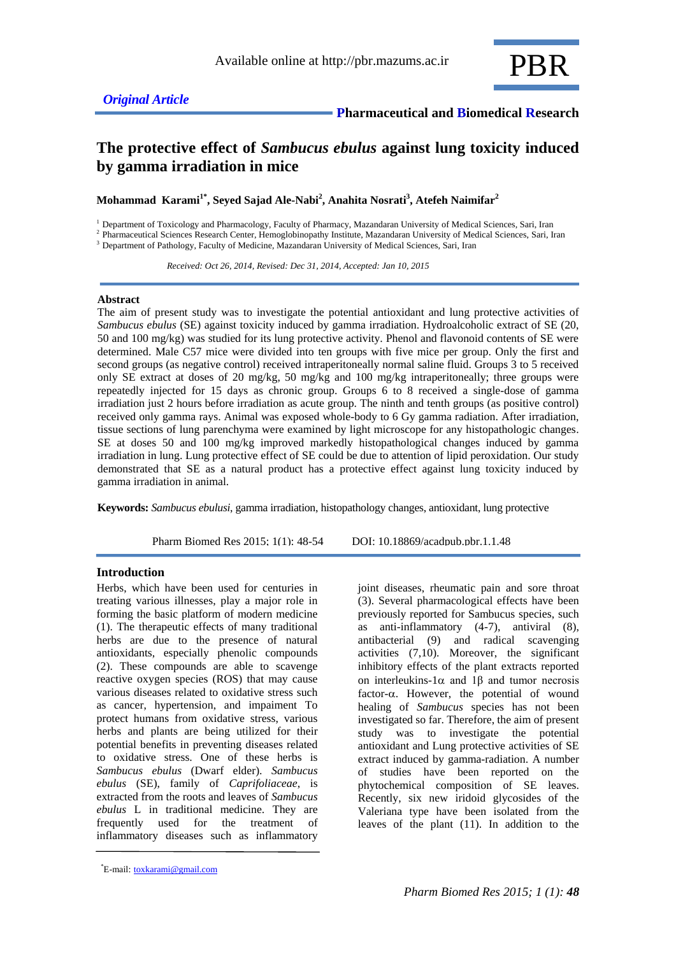## **The protective effect of** *Sambucus ebulus* **against lung toxicity induced by gamma irradiation in mice**

**Mohammad Karami1\* , Seyed Sajad Ale-Nabi<sup>2</sup> , Anahita Nosrati 3 , Atefeh Naimifar<sup>2</sup>**

<sup>1</sup> Department of Toxicology and Pharmacology, Faculty of Pharmacy, Mazandaran University of Medical Sciences, Sari, Iran

2 Pharmaceutical Sciences Research Center, Hemoglobinopathy Institute, Mazandaran University of Medical Sciences, Sari, Iran <sup>3</sup> Department of Pathology, Faculty of Medicine, Mazandaran University of Medical Sciences, Sari, Iran

 *Received: Oct 26, 2014, Revised: Dec 31, 2014, Accepted: Jan 10, 2015*

## **Abstract**

The aim of present study was to investigate the potential antioxidant and lung protective activities of *Sambucus ebulus* (SE) against toxicity induced by gamma irradiation. Hydroalcoholic extract of SE (20, 50 and 100 mg/kg) was studied for its lung protective activity. Phenol and flavonoid contents of SE were determined. Male C57 mice were divided into ten groups with five mice per group. Only the first and second groups (as negative control) received intraperitoneally normal saline fluid. Groups 3 to 5 received only SE extract at doses of 20 mg/kg, 50 mg/kg and 100 mg/kg intraperitoneally; three groups were repeatedly injected for 15 days as chronic group. Groups 6 to 8 received a single-dose of gamma irradiation just 2 hours before irradiation as acute group. The ninth and tenth groups (as positive control) received only gamma rays. Animal was exposed whole-body to 6 Gy gamma radiation. After irradiation, tissue sections of lung parenchyma were examined by light microscope for any histopathologic changes. SE at doses 50 and 100 mg/kg improved markedly histopathological changes induced by gamma irradiation in lung. Lung protective effect of SE could be due to attention of lipid peroxidation. Our study demonstrated that SE as a natural product has a protective effect against lung toxicity induced by gamma irradiation in animal.

**Keywords:** *Sambucus ebulusi*, gamma irradiation, histopathology changes, antioxidant, lung protective

Pharm Biomed Res 2015; 1(1): 48-54 DOI: 10.18869/acadpub.pbr.1.1.48

## **Introduction**

Herbs, which have been used for centuries in treating various illnesses, play a major role in forming the basic platform of modern medicine (1). The therapeutic effects of many traditional herbs are due to the presence of natural antioxidants, especially phenolic compounds (2). These compounds are able to scavenge reactive oxygen species (ROS) that may cause various diseases related to oxidative stress such as cancer, hypertension, and impaiment To protect humans from oxidative stress, various herbs and plants are being utilized for their potential benefits in preventing diseases related to oxidative stress. One of these herbs is *Sambucus ebulus* (Dwarf elder). *Sambucus ebulus* (SE), family of *Caprifoliaceae*, is extracted from the roots and leaves of *Sambucus ebulus* L in traditional medicine. They are frequently used for the treatment of inflammatory diseases such as inflammatory joint diseases, rheumatic pain and sore throat (3). Several pharmacological effects have been

previously reported for Sambucus species, such as anti-inflammatory (4-7), antiviral (8), antibacterial (9) and radical scavenging activities (7,10). Moreover, the significant inhibitory effects of the plant extracts reported on interleukins-1 $\alpha$  and 1 $\beta$  and tumor necrosis factor- $\alpha$ . However, the potential of wound healing of *Sambucus* species has not been investigated so far. Therefore, the aim of present study was to investigate the potential antioxidant and Lung protective activities of SE extract induced by gamma-radiation. A number of studies have been reported on the phytochemical composition of SE leaves. Recently, six new iridoid glycosides of the Valeriana type have been isolated from the leaves of the plant (11). In addition to the

E-mail: [toxkarami@gmail.com](mailto:toxkarami@gmail.com) \*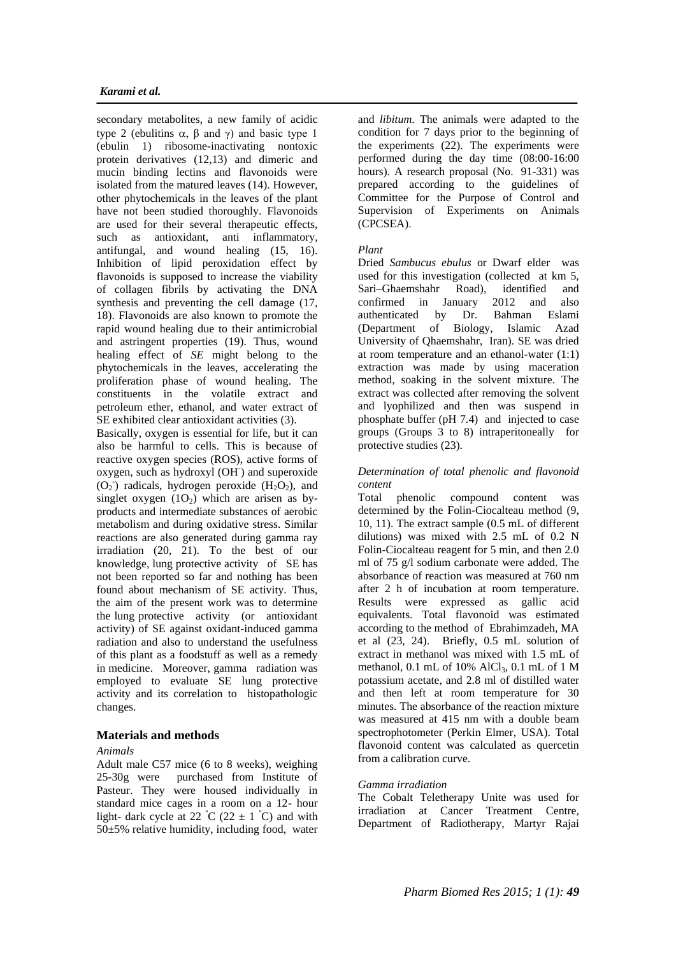secondary metabolites, a new family of acidic type 2 (ebulitins  $\alpha$ ,  $\beta$  and  $\gamma$ ) and basic type 1 (ebulin 1) ribosome-inactivating nontoxic protein derivatives (12,13) and dimeric and mucin binding lectins and flavonoids were isolated from the matured leaves (14). However, other phytochemicals in the leaves of the plant have not been studied thoroughly. Flavonoids are used for their several therapeutic effects, such as antioxidant, anti inflammatory, antifungal, and wound healing (15, 16). Inhibition of lipid peroxidation effect by flavonoids is supposed to increase the viability of collagen fibrils by activating the DNA synthesis and preventing the cell damage (17, 18). Flavonoids are also known to promote the rapid wound healing due to their antimicrobial and astringent properties (19). Thus, wound healing effect of *SE* might belong to the phytochemicals in the leaves, accelerating the proliferation phase of wound healing. The constituents in the volatile extract and petroleum ether, ethanol, and water extract of SE exhibited clear antioxidant activities (3).

Basically, oxygen is essential for life, but it can also be harmful to cells. This is because of reactive oxygen species (ROS), active forms of oxygen, such as hydroxyl (OH) and superoxide  $(O_2)$  radicals, hydrogen peroxide  $(H_2O_2)$ , and singlet oxygen  $(1O<sub>2</sub>)$  which are arisen as byproducts and intermediate substances of aerobic metabolism and during oxidative stress. Similar reactions are also generated during gamma ray irradiation (20, 21). To the best of our knowledge, lung protective activity of SE has not been reported so far and nothing has been found about mechanism of SE activity. Thus, the aim of the present work was to determine the lung protective activity (or antioxidant activity) of SE against oxidant-induced gamma radiation and also to understand the usefulness of this plant as a foodstuff as well as a remedy in medicine. Moreover, gamma radiation was employed to evaluate SE lung protective activity and its correlation to histopathologic changes.

## **Materials and methods**

## *Animals*

Adult male C57 mice (6 to 8 weeks), weighing 25-30g were purchased from Institute of Pasteur. They were housed individually in standard mice cages in a room on a 12- hour light- dark cycle at 22  $\degree$ C (22  $\pm$  1  $\degree$ C) and with  $50±5%$  relative humidity, including food, water

and *libitum*. The animals were adapted to the condition for 7 days prior to the beginning of the experiments (22). The experiments were performed during the day time (08:00-16:00 hours). A research proposal (No. 91-331) was prepared according to the guidelines of Committee for the Purpose of Control and Supervision of Experiments on Animals (CPCSEA).

## *Plant*

Dried *Sambucus ebulus* or Dwarf elder was used for this investigation (collected at km 5, Sari–Ghaemshahr Road), identified and confirmed in January 2012 and also authenticated by Dr. Bahman Eslami (Department of Biology, Islamic Azad University of Qhaemshahr, Iran). SE was dried at room temperature and an ethanol-water (1:1) extraction was made by using maceration method, soaking in the solvent mixture. The extract was collected after removing the solvent and lyophilized and then was suspend in phosphate buffer (pH 7.4) and injected to case groups (Groups 3 to 8) intraperitoneally for protective studies (23).

# *Determination of total phenolic and flavonoid*

*content* Total phenolic compound content was determined by the Folin-Ciocalteau method (9, 10, 11). The extract sample (0.5 mL of different dilutions) was mixed with 2.5 mL of 0.2 N Folin-Ciocalteau reagent for 5 min, and then 2.0 ml of 75 g/l sodium carbonate were added. The absorbance of reaction was measured at 760 nm after 2 h of incubation at room temperature. Results were expressed as gallic acid equivalents. Total flavonoid was estimated according to the method of Ebrahimzadeh, MA et al (23, 24). Briefly, 0.5 mL solution of extract in methanol was mixed with 1.5 mL of methanol, 0.1 mL of 10% AlCl<sub>3</sub>, 0.1 mL of 1 M potassium acetate, and 2.8 ml of distilled water and then left at room temperature for 30 minutes. The absorbance of the reaction mixture was measured at 415 nm with a double beam spectrophotometer (Perkin Elmer, USA). Total flavonoid content was calculated as quercetin from a calibration curve.

## *Gamma irradiation*

The Cobalt Teletherapy Unite was used for irradiation at Cancer Treatment Centre, Department of Radiotherapy, Martyr Rajai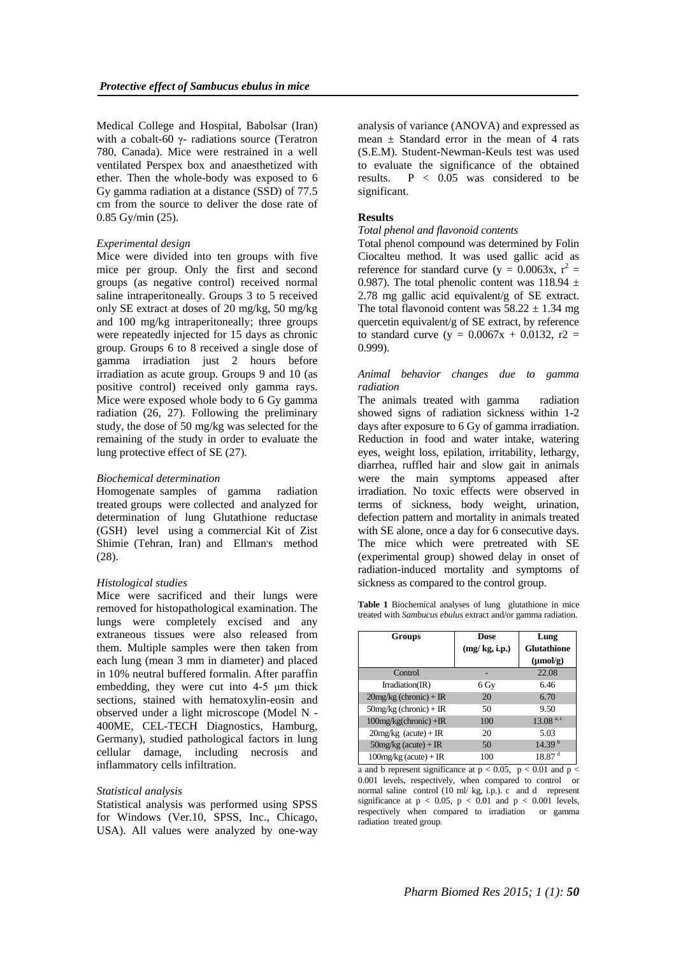Medical College and Hospital, Babolsar (Iran) with a cobalt-60 γ- radiations source (Teratron 780, Canada). Mice were restrained in a well ventilated Perspex box and anaesthetized with ether. Then the whole-body was exposed to 6 Gy gamma radiation at a distance (SSD) of 77.5 cm from the source to deliver the dose rate of 0.85 Gy/min (25).

## *Experimental design*

Mice were divided into ten groups with five mice per group. Only the first and second groups (as negative control) received normal saline intraperitoneally. Groups 3 to 5 received only SE extract at doses of 20 mg/kg, 50 mg/kg and 100 mg/kg intraperitoneally; three groups were repeatedly injected for 15 days as chronic group. Groups 6 to 8 received a single dose of gamma irradiation just 2 hours before irradiation as acute group. Groups 9 and 10 (as positive control) received only gamma rays. Mice were exposed whole body to 6 Gy gamma radiation (26, 27). Following the preliminary study, the dose of 50 mg/kg was selected for the remaining of the study in order to evaluate the lung protective effect of SE (27).

## *Biochemical determination*

Homogenate samples of gamma radiation treated groups were collected and analyzed for determination of lung Glutathione reductase (GSH) level using a commercial Kit of Zist Shimie (Tehran, Iran) and Ellman's method (28).

#### *Histological studies*

Mice were sacrificed and their lungs were removed for histopathological examination. The lungs were completely excised and any extraneous tissues were also released from them. Multiple samples were then taken from each lung (mean 3 mm in diameter) and placed in 10% neutral buffered formalin. After paraffin embedding, they were cut into 4-5 μm thick sections, stained with hematoxylin-eosin and observed under a light microscope (Model N - 400ME, CEL-TECH Diagnostics, Hamburg, Germany), studied pathological factors in lung cellular damage, including necrosis and inflammatory cells infiltration.

### *Statistical analysis*

Statistical analysis was performed using SPSS for Windows (Ver.10, SPSS, Inc., Chicago, USA). All values were analyzed by one-way

analysis of variance (ANOVA) and expressed as mean  $\pm$  Standard error in the mean of 4 rats (S.E.M). Student-Newman-Keuls test was used to evaluate the significance of the obtained results. P < 0.05 was considered to be significant.

## **Results**

## *Total phenol and flavonoid contents*

Total phenol compound was determined by Folin Ciocalteu method. It was used gallic acid as reference for standard curve ( $y = 0.0063x$ ,  $r^2 =$ 0.987). The total phenolic content was  $118.94 \pm 1$ 2.78 mg gallic acid equivalent/g of SE extract. The total flavonoid content was  $58.22 \pm 1.34$  mg quercetin equivalent/g of SE extract, by reference to standard curve (y =  $0.0067x + 0.0132$ , r2 = 0.999).

## *Animal behavior changes due to gamma radiation*

The animals treated with gamma radiation showed signs of radiation sickness within 1-2 days after exposure to 6 Gy of gamma irradiation. Reduction in food and water intake, watering eyes, weight loss, epilation, irritability, lethargy, diarrhea, ruffled hair and slow gait in animals were the main symptoms appeased after irradiation. No toxic effects were observed in terms of sickness, body weight, urination, defection pattern and mortality in animals treated with SE alone, once a day for 6 consecutive days. The mice which were pretreated with SE (experimental group) showed delay in onset of radiation-induced mortality and symptoms of sickness as compared to the control group.

**Table 1** Biochemical analyses of lung glutathione in mice treated with *Sambucus ebulus* extract and/or gamma radiation.

| <b>Groups</b>             | Dose          | Lung                    |
|---------------------------|---------------|-------------------------|
|                           | (mg/kg, i.p.) | <b>Glutathione</b>      |
|                           |               | $(\mu mol/g)$           |
| Control                   |               | 22.08                   |
| Irradiation(IR)           | 6 Gy          | 6.46                    |
| $20$ mg/kg (chronic) + IR | 20            | 6.70                    |
| $50mg/kg$ (chronic) + IR  | 50            | 9.50                    |
| $100$ mg/kg(chronic) +IR  | 100           | $13.08$ <sup>a, c</sup> |
| $20$ mg/kg (acute) + IR   | 20            | 5.03                    |
| $50mg/kg$ (acute) + IR    | 50            | 14.39 <sup>b</sup>      |
| $100mg/kg$ (acute) + IR   | 100           | $18.87$ <sup>d</sup>    |

a and b represent significance at  $p < 0.05$ ,  $p < 0.01$  and  $p <$ 0.001 levels, respectively, when compared to control or normal saline control  $(10 \text{ ml}/ \text{ kg}, i.p.)$ . c and d represent significance at  $p < 0.05$ ,  $p < 0.01$  and  $p < 0.001$  levels, respectively when compared to irradiation or gamma radiation treated group.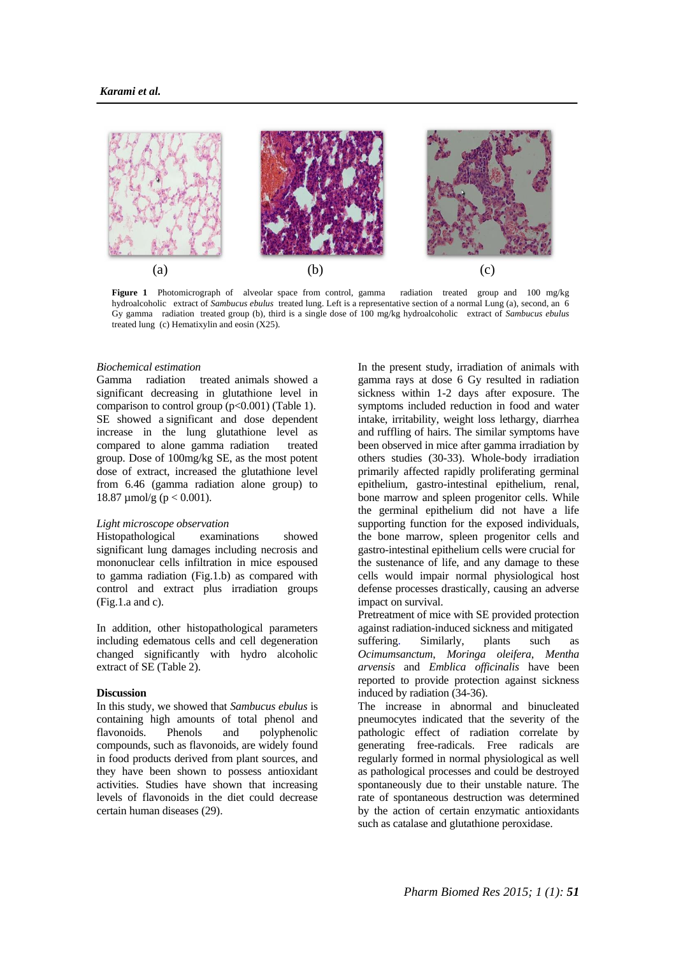

**Figure 1** Photomicrograph of alveolar space from control, gamma radiation treated group and 100 mg/kg hydroalcoholic extract of *Sambucus ebulus* treated lung. Left is a representative section of a normal Lung (a), second, an 6 Gy gamma radiation treated group (b), third is a single dose of 100 mg/kg hydroalcoholic extract of *Sambucus ebulus*  treated lung (c) Hematixylin and eosin (X25).

## *Biochemical estimation*

Gamma radiation treated animals showed a significant decreasing in glutathione level in comparison to control group  $(p<0.001)$  (Table 1). SE showed a significant and dose dependent increase in the lung glutathione level as compared to alone gamma radiation treated group. Dose of 100mg/kg SE, as the most potent dose of extract, increased the glutathione level from 6.46 (gamma radiation alone group) to 18.87 umol/g ( $p < 0.001$ ).

## *Light microscope observation*

Histopathological examinations showed significant lung damages including necrosis and mononuclear cells infiltration in mice espoused to gamma radiation (Fig.1.b) as compared with control and extract plus irradiation groups (Fig.1.a and c).

In addition, other histopathological parameters including edematous cells and cell degeneration changed significantly with hydro alcoholic extract of SE (Table 2).

## **Discussion**

In this study, we showed that *Sambucus ebulus* is containing high amounts of total phenol and flavonoids. Phenols and polyphenolic compounds, such as flavonoids, are widely found in food products derived from plant sources, and they have been shown to possess antioxidant activities. Studies have shown that increasing levels of flavonoids in the diet could decrease certain human diseases (29).

In the present study, irradiation of animals with gamma rays at dose 6 Gy resulted in radiation sickness within 1-2 days after exposure. The symptoms included reduction in food and water intake, irritability, weight loss lethargy, diarrhea and ruffling of hairs. The similar symptoms have been observed in mice after gamma irradiation by others studies (30-33). Whole-body irradiation primarily affected rapidly proliferating germinal epithelium, gastro-intestinal epithelium, renal, bone marrow and spleen progenitor cells. While the germinal epithelium did not have a life supporting function for the exposed individuals, the bone marrow, spleen progenitor cells and gastro-intestinal epithelium cells were crucial for the sustenance of life, and any damage to these cells would impair normal physiological host defense processes drastically, causing an adverse impact on survival.

Pretreatment of mice with SE provided protection against radiation-induced sickness and mitigated suffering. Similarly, plants such as *Ocimumsanctum*, *Moringa oleifera*, *Mentha arvensis* and *Emblica officinalis* have been reported to provide protection against sickness induced by radiation (34-36).

The increase in abnormal and binucleated pneumocytes indicated that the severity of the pathologic effect of radiation correlate by generating free-radicals. Free radicals are regularly formed in normal physiological as well as pathological processes and could be destroyed spontaneously due to their unstable nature. The rate of spontaneous destruction was determined by the action of certain enzymatic antioxidants such as catalase and glutathione peroxidase.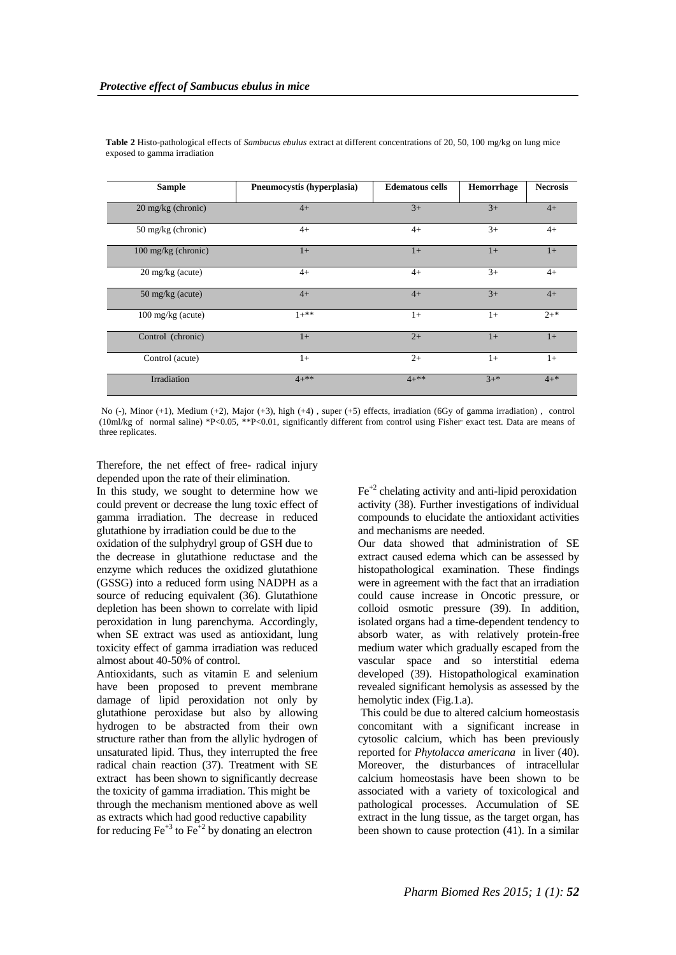| <b>Sample</b>               | Pneumocystis (hyperplasia) | <b>Edematous cells</b> | Hemorrhage | <b>Necrosis</b> |
|-----------------------------|----------------------------|------------------------|------------|-----------------|
| 20 mg/kg (chronic)          | $4+$                       | $3+$                   | $3+$       | $4+$            |
| 50 mg/kg (chronic)          | $4+$                       | $4+$                   | $3+$       | $4+$            |
| 100 mg/kg (chronic)         | $1+$                       | $1+$                   | $1+$       | $1+$            |
| $20 \text{ mg/kg}$ (acute)  | $4+$                       | $4+$                   | $3+$       | $4+$            |
| 50 mg/kg (acute)            | $4+$                       | $4+$                   | $3+$       | $4+$            |
| $100 \text{ mg/kg}$ (acute) | $1+**$                     | $1+$                   | $1+$       | $2^{+*}$        |
| Control (chronic)           | $1+$                       | $2+$                   | $1+$       | $1+$            |
| Control (acute)             | $1+$                       | $2+$                   | $1+$       | $1+$            |
| Irradiation                 | $4+**$                     | $4+***$                | $3^{+*}$   | $4 + *$         |

**Table 2** Histo-pathological effects of *Sambucus ebulus* extract at different concentrations of 20, 50, 100 mg/kg on lung mice exposed to gamma irradiation

No (-), Minor (+1), Medium (+2), Major (+3), high (+4) , super (+5) effects, irradiation (6Gy of gamma irradiation) , control (10ml/kg of normal saline) \*P<0.05, \*\*P<0.01, significantly different from control using Fisher exact test. Data are means of three replicates.

Therefore, the net effect of free- radical injury depended upon the rate of their elimination.

In this study, we sought to determine how we could prevent or decrease the lung toxic effect of gamma irradiation. The decrease in reduced glutathione by irradiation could be due to the oxidation of the sulphydryl group of GSH due to the decrease in glutathione reductase and the enzyme which reduces the oxidized glutathione (GSSG) into a reduced form using NADPH as a source of reducing equivalent (36). Glutathione depletion has been shown to correlate with lipid peroxidation in lung parenchyma. Accordingly, when SE extract was used as antioxidant, lung toxicity effect of gamma irradiation was reduced almost about 40-50% of control.

Antioxidants, such as vitamin E and selenium have been proposed to prevent membrane damage of lipid peroxidation not only by glutathione peroxidase but also by allowing hydrogen to be abstracted from their own structure rather than from the allylic hydrogen of unsaturated lipid. Thus, they interrupted the free radical chain reaction (37). Treatment with SE extract has been shown to significantly decrease the toxicity of gamma irradiation. This might be through the mechanism mentioned above as well as extracts which had good reductive capability for reducing  $\text{Fe}^{+3}$  to  $\text{Fe}^{+2}$  by donating an electron

 $Fe<sup>+2</sup>$  chelating activity and anti-lipid peroxidation activity (38). Further investigations of individual compounds to elucidate the antioxidant activities and mechanisms are needed.

Our data showed that administration of SE extract caused edema which can be assessed by histopathological examination. These findings were in agreement with the fact that an irradiation could cause increase in Oncotic pressure, or colloid osmotic pressure (39). In addition, isolated organs had a time-dependent tendency to absorb water, as with relatively protein-free medium water which gradually escaped from the vascular space and so interstitial edema developed (39). Histopathological examination revealed significant hemolysis as assessed by the hemolytic index (Fig.1.a).

This could be due to altered calcium homeostasis concomitant with a significant increase in cytosolic calcium, which has been previously reported for *Phytolacca americana* in liver (40). Moreover, the disturbances of intracellular calcium homeostasis have been shown to be associated with a variety of toxicological and pathological processes. Accumulation of SE extract in the lung tissue, as the target organ, has been shown to cause protection (41). In a similar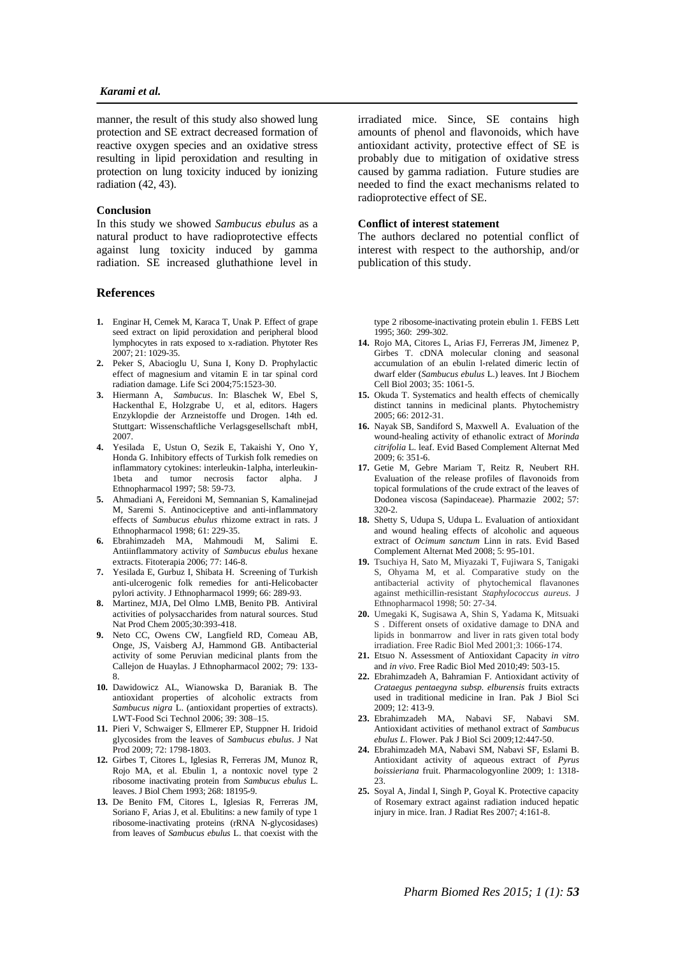## *Karami et al.*

manner, the result of this study also showed lung protection and SE extract decreased formation of reactive oxygen species and an oxidative stress resulting in lipid peroxidation and resulting in protection on lung toxicity induced by ionizing radiation (42, 43).

### **Conclusion**

In this study we showed *Sambucus ebulus* as a natural product to have radioprotective effects against lung toxicity induced by gamma radiation. SE increased gluthathione level in

## **References**

- **1.** Enginar H, Cemek M, Karaca T, Unak P. Effect of grape seed extract on lipid peroxidation and peripheral blood lymphocytes in rats exposed to x-radiation. Phytoter Res 2007; 21: 1029-35.
- **2.** Peker S, Abacioglu U, Suna I, Kony D. Prophylactic effect of magnesium and vitamin E in tar spinal cord radiation damage. Life Sci 2004;75:1523-30.
- **3.** Hiermann A, *Sambucus*. In: Blaschek W, Ebel S, Hackenthal E, Holzgrabe U, et al, editors. Hagers Enzyklopdie der Arzneistoffe und Drogen. 14th ed. Stuttgart: Wissenschaftliche Verlagsgesellschaft mbH, 2007.
- **4.** Yesilada E, Ustun O, Sezik E, Takaishi Y, Ono Y, Honda G. Inhibitory effects of Turkish folk remedies on inflammatory cytokines: interleukin-1alpha, interleukin-1beta and tumor necrosis factor alpha. J Ethnopharmacol 1997; 58: 59-73.
- **5.** Ahmadiani A, Fereidoni M, Semnanian S, Kamalinejad M, Saremi S. Antinociceptive and anti-inflammatory effects of *Sambucus ebulus* rhizome extract in rats. J Ethnopharmacol 1998; 61: 229-35.
- **6.** Ebrahimzadeh MA, Mahmoudi M, Salimi E. Antiinflammatory activity of *Sambucus ebulus* hexane extracts. Fitoterapia 2006; 77: 146-8.
- **7.** Yesilada E, Gurbuz I, Shibata H. Screening of Turkish anti-ulcerogenic folk remedies for anti-Helicobacter pylori activity. J Ethnopharmacol 1999; 66: 289-93.
- **8.** Martinez, MJA, Del Olmo LMB, Benito PB. Antiviral activities of polysaccharides from natural sources. Stud Nat Prod Chem 2005;30:393-418.
- **9.** Neto CC, Owens CW, Langfield RD, Comeau AB, Onge, JS, Vaisberg AJ, Hammond GB. Antibacterial activity of some Peruvian medicinal plants from the Callejon de Huaylas. J Ethnopharmacol 2002; 79: 133- 8.
- **10.** Dawidowicz AL, Wianowska D, Baraniak B. The antioxidant properties of alcoholic extracts from *Sambucus nigra* L. (antioxidant properties of extracts). LWT-Food Sci Technol 2006; 39: 308–15.
- **11.** Pieri V, Schwaiger S, Ellmerer EP, Stuppner H. Iridoid glycosides from the leaves of *Sambucus ebulus*. J Nat Prod 2009; 72: 1798-1803.
- **12.** Girbes T, Citores L, Iglesias R, Ferreras JM, Munoz R, Rojo MA, et al. Ebulin 1, a nontoxic novel type 2 ribosome inactivating protein from *Sambucus ebulus* L. leaves. J Biol Chem 1993; 268: 18195-9.
- **13.** De Benito FM, Citores L, Iglesias R, Ferreras JM, Soriano F, Arias J, et al. Ebulitins: a new family of type 1 ribosome-inactivating proteins (rRNA N-glycosidases) from leaves of *Sambucus ebulus* L. that coexist with the

irradiated mice. Since, SE contains high amounts of phenol and flavonoids, which have antioxidant activity, protective effect of SE is probably due to mitigation of oxidative stress caused by gamma radiation. Future studies are needed to find the exact mechanisms related to radioprotective effect of SE.

## **Conflict of interest statement**

The authors declared no potential conflict of interest with respect to the authorship, and/or publication of this study.

type 2 ribosome-inactivating protein ebulin 1. FEBS Lett 1995; 360: 299-302.

- **14.** Rojo MA, Citores L, Arias FJ, Ferreras JM, Jimenez P, Girbes T. cDNA molecular cloning and seasonal accumulation of an ebulin l-related dimeric lectin of dwarf elder (*Sambucus ebulus* L.) leaves. Int J Biochem Cell Biol 2003; 35: 1061-5.
- **15.** Okuda T. Systematics and health effects of chemically distinct tannins in medicinal plants. Phytochemistry 2005; 66: 2012-31.
- **16.** Nayak SB, Sandiford S, Maxwell A. Evaluation of the wound-healing activity of ethanolic extract of *Morinda citrifolia* L. leaf. [Evid Based Complement Alternat Med](http://www.ncbi.nlm.nih.gov/pubmed/?term=Evaluation+of+the+wound-healing+activity+of+ethanolic+extract+of+Morinda+citrifolia+L.+leaf.) 2009; 6: 351-6.
- **17.** Getie M, Gebre Mariam T, Reitz R, Neubert RH. Evaluation of the release profiles of flavonoids from topical formulations of the crude extract of the leaves of Dodonea viscosa (Sapindaceae). Pharmazie 2002; 57: 320-2.
- **18.** Shetty S, Udupa S, Udupa L. Evaluation of antioxidant and wound healing effects of alcoholic and aqueous extract of *Ocimum sanctum* Linn in rats. [Evid Based](http://www.ncbi.nlm.nih.gov/pubmed/?term=Evaluation+of+the+wound-healing+activity+of+ethanolic+extract+of+Morinda+citrifolia+L.+leaf.)  [Complement Alternat Med](http://www.ncbi.nlm.nih.gov/pubmed/?term=Evaluation+of+the+wound-healing+activity+of+ethanolic+extract+of+Morinda+citrifolia+L.+leaf.) 2008; 5: 95-101.
- **19.** Tsuchiya H, Sato M, Miyazaki T, Fujiwara S, Tanigaki S, Ohyama M, et al. Comparative study on the antibacterial activity of phytochemical flavanones against methicillin-resistant *Staphylococcus aureus*. J Ethnopharmacol 1998; 50: 27-34.
- **20.** Umegaki K, Sugisawa A, Shin S, Yadama K, Mitsuaki S . Different onsets of oxidative damage to DNA and lipids in bonmarrow and liver in rats given total body irradiation. Free Radic Biol Med 2001;3: 1066-174.
- **21.** Etsuo N. Assessment of Antioxidant Capacity *in vitro* and *in vivo*. Free Radic Biol Med 2010;49: 503-15.
- **22.** Ebrahimzadeh A, Bahramian F. Antioxidant activity of *Crataegus pentaegyna subsp. elburensis* fruits extracts used in traditional medicine in Iran. Pak J Biol Sci  $2009 \cdot 12 \cdot 413 - 9$
- **23.** Ebrahimzadeh MA, Nabavi SF, Nabavi SM. Antioxidant activities of methanol extract of *Sambucus ebulus L*. Flower. Pak J Biol Sci 2009;12:447-50.
- **24.** Ebrahimzadeh MA, Nabavi SM, Nabavi SF, Eslami B. Antioxidant activity of aqueous extract of *Pyrus boissieriana* fruit. Pharmacologyonline 2009; 1: 1318-  $23.$
- **25.** Soyal A, Jindal I, Singh P, Goyal K. Protective capacity of Rosemary extract against radiation induced hepatic injury in mice. Iran. J Radiat Res 2007; 4:161-8.